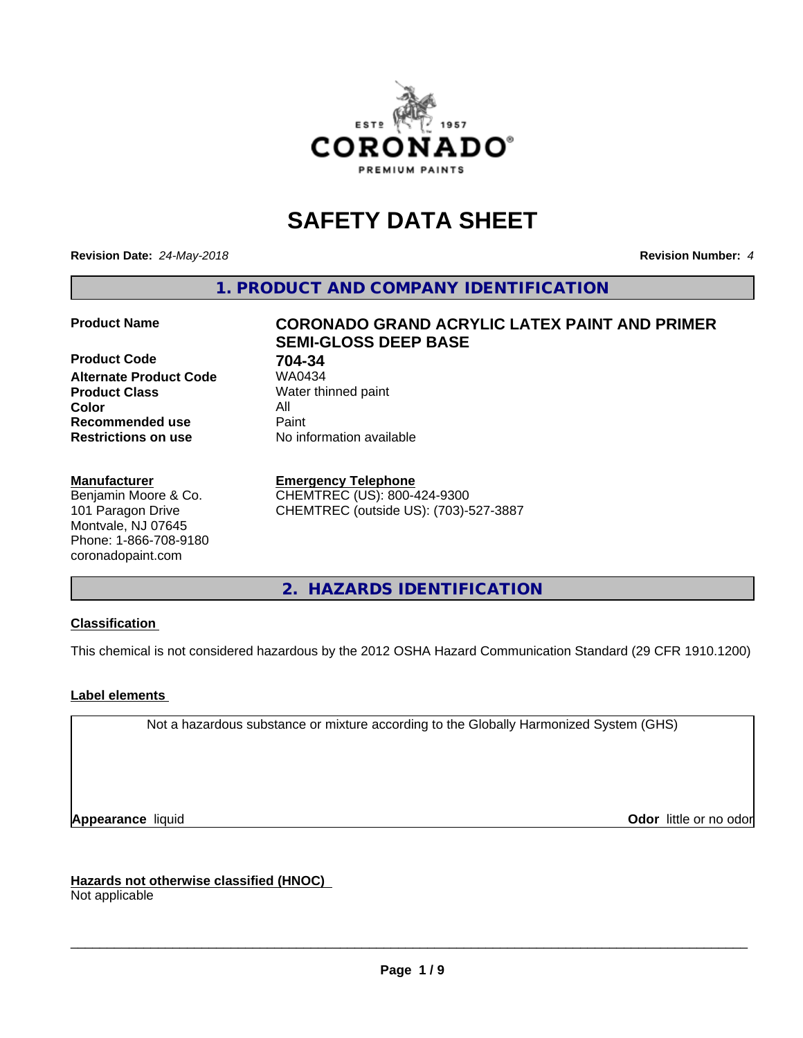

# **SAFETY DATA SHEET**

**Revision Date:** *24-May-2018* **Revision Number:** *4*

**1. PRODUCT AND COMPANY IDENTIFICATION**

**Product Code 61 704-34**<br>**Alternate Product Code 61 704-34 Alternate Product Code Product Class** Water thinned paint<br> **Color** All **Color** All **Recommended use Caint Restrictions on use** No information available

#### **Manufacturer**

Benjamin Moore & Co. 101 Paragon Drive Montvale, NJ 07645 Phone: 1-866-708-9180 coronadopaint.com

# **Product Name CORONADO GRAND ACRYLIC LATEX PAINT AND PRIMER SEMI-GLOSS DEEP BASE**

#### **Emergency Telephone**

CHEMTREC (US): 800-424-9300 CHEMTREC (outside US): (703)-527-3887

**2. HAZARDS IDENTIFICATION**

#### **Classification**

This chemical is not considered hazardous by the 2012 OSHA Hazard Communication Standard (29 CFR 1910.1200)

#### **Label elements**

Not a hazardous substance or mixture according to the Globally Harmonized System (GHS)

**Appearance** liquid **Contract Contract Contract Contract Contract Contract Contract Contract Contract Contract Contract Contract Contract Contract Contract Contract Contract Contract Contract Contract Contract Contract Con** 

**Hazards not otherwise classified (HNOC)**

Not applicable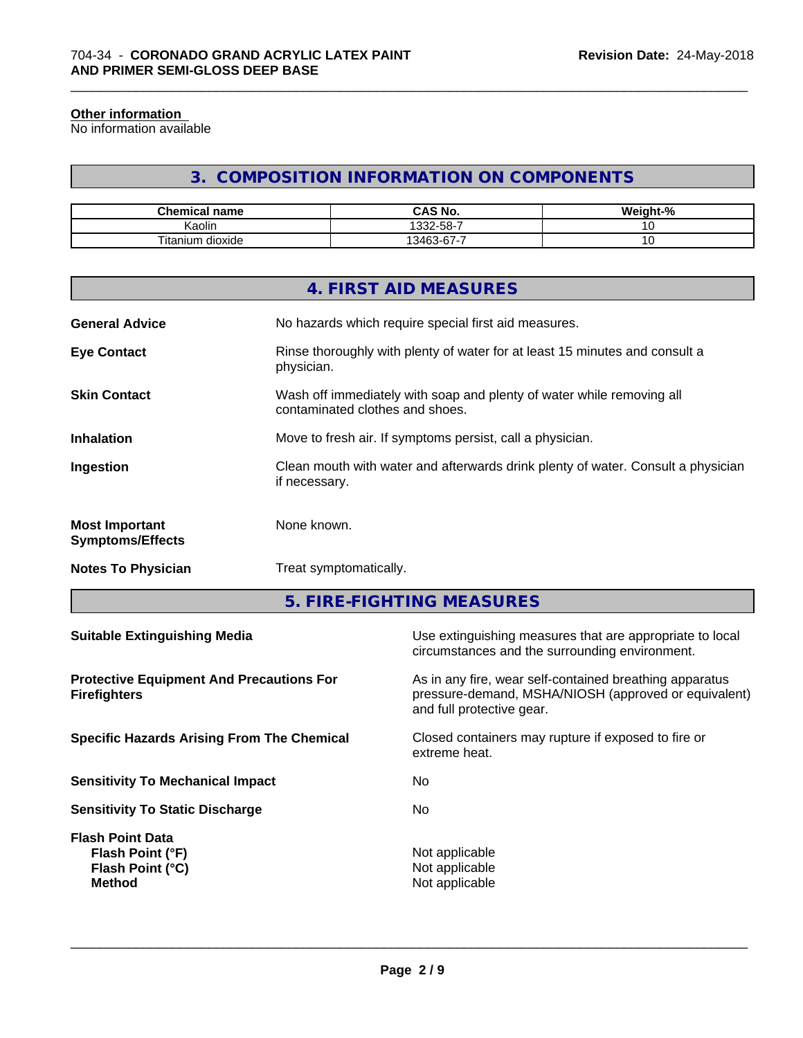#### **Other information**

No information available

# **3. COMPOSITION INFORMATION ON COMPONENTS**

\_\_\_\_\_\_\_\_\_\_\_\_\_\_\_\_\_\_\_\_\_\_\_\_\_\_\_\_\_\_\_\_\_\_\_\_\_\_\_\_\_\_\_\_\_\_\_\_\_\_\_\_\_\_\_\_\_\_\_\_\_\_\_\_\_\_\_\_\_\_\_\_\_\_\_\_\_\_\_\_\_\_\_\_\_\_\_\_\_\_\_\_\_

| <b>Chemical</b><br>' name         | <b>CAS No.</b>                                                      | $\cdots$<br>$\sim$<br>'eiaht-<br>-70 |
|-----------------------------------|---------------------------------------------------------------------|--------------------------------------|
| . .<br>. .<br>Kaolin              | $32-58-7$                                                           | $\cdot$                              |
| ÷.<br><br>l itan<br>dioxide<br>um | -<br>$\sim$<br>$\sqrt{2}$<br>$\overline{\phantom{0}}$<br>≅41∴.<br>v | ັ                                    |

|                                                  | 4. FIRST AID MEASURES                                                                                    |
|--------------------------------------------------|----------------------------------------------------------------------------------------------------------|
| <b>General Advice</b>                            | No hazards which require special first aid measures.                                                     |
| <b>Eye Contact</b>                               | Rinse thoroughly with plenty of water for at least 15 minutes and consult a<br>physician.                |
| <b>Skin Contact</b>                              | Wash off immediately with soap and plenty of water while removing all<br>contaminated clothes and shoes. |
| <b>Inhalation</b>                                | Move to fresh air. If symptoms persist, call a physician.                                                |
| Ingestion                                        | Clean mouth with water and afterwards drink plenty of water. Consult a physician<br>if necessary.        |
| <b>Most Important</b><br><b>Symptoms/Effects</b> | None known.                                                                                              |
| <b>Notes To Physician</b>                        | Treat symptomatically.                                                                                   |
|                                                  |                                                                                                          |

**5. FIRE-FIGHTING MEASURES**

| <b>Suitable Extinguishing Media</b>                                              | Use extinguishing measures that are appropriate to local<br>circumstances and the surrounding environment.                                   |
|----------------------------------------------------------------------------------|----------------------------------------------------------------------------------------------------------------------------------------------|
| <b>Protective Equipment And Precautions For</b><br><b>Firefighters</b>           | As in any fire, wear self-contained breathing apparatus<br>pressure-demand, MSHA/NIOSH (approved or equivalent)<br>and full protective gear. |
| <b>Specific Hazards Arising From The Chemical</b>                                | Closed containers may rupture if exposed to fire or<br>extreme heat.                                                                         |
| <b>Sensitivity To Mechanical Impact</b>                                          | No                                                                                                                                           |
| <b>Sensitivity To Static Discharge</b>                                           | No.                                                                                                                                          |
| <b>Flash Point Data</b><br>Flash Point (°F)<br>Flash Point (°C)<br><b>Method</b> | Not applicable<br>Not applicable<br>Not applicable                                                                                           |
|                                                                                  |                                                                                                                                              |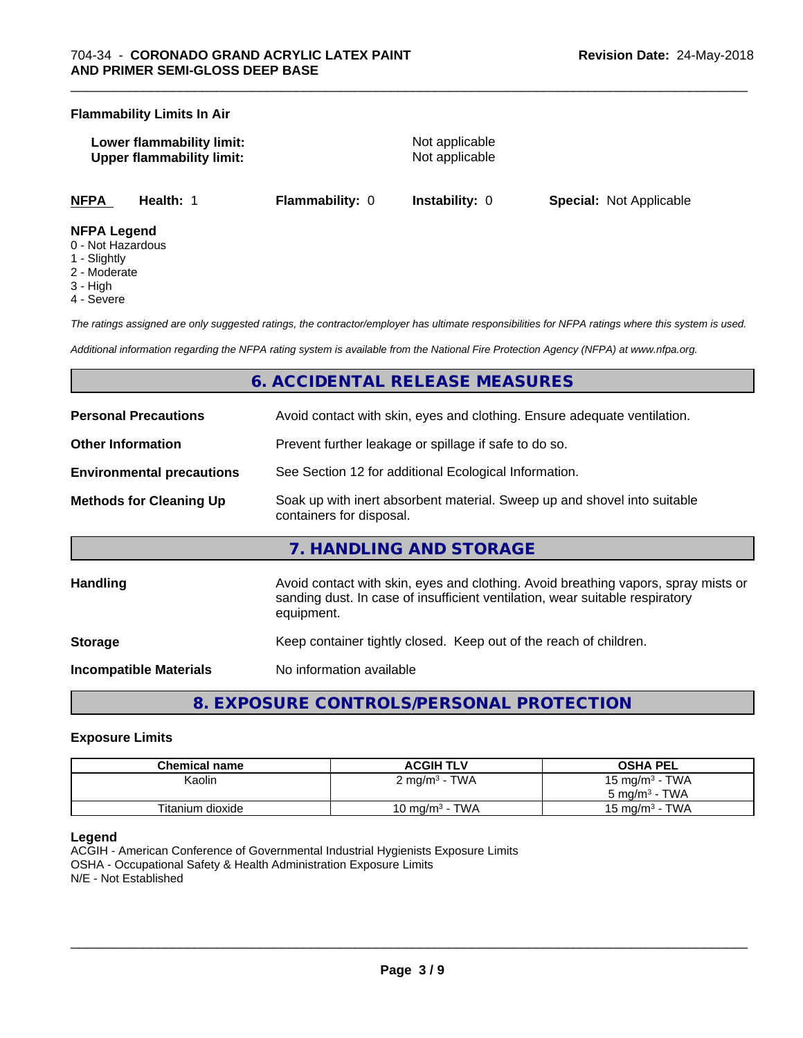#### **Flammability Limits In Air**

| Lower flammability limit:        |  |
|----------------------------------|--|
| <b>Upper flammability limit:</b> |  |

**Not applicable Not applicable** 

\_\_\_\_\_\_\_\_\_\_\_\_\_\_\_\_\_\_\_\_\_\_\_\_\_\_\_\_\_\_\_\_\_\_\_\_\_\_\_\_\_\_\_\_\_\_\_\_\_\_\_\_\_\_\_\_\_\_\_\_\_\_\_\_\_\_\_\_\_\_\_\_\_\_\_\_\_\_\_\_\_\_\_\_\_\_\_\_\_\_\_\_\_

**NFPA Health:** 1 **Flammability:** 0 **Instability:** 0 **Special:** Not Applicable

#### **NFPA Legend**

- 0 Not Hazardous
- 1 Slightly
- 2 Moderate
- 3 High
- 4 Severe

*The ratings assigned are only suggested ratings, the contractor/employer has ultimate responsibilities for NFPA ratings where this system is used.*

*Additional information regarding the NFPA rating system is available from the National Fire Protection Agency (NFPA) at www.nfpa.org.*

# **6. ACCIDENTAL RELEASE MEASURES**

| <b>Personal Precautions</b>      | Avoid contact with skin, eyes and clothing. Ensure adequate ventilation.                                                                                                         |
|----------------------------------|----------------------------------------------------------------------------------------------------------------------------------------------------------------------------------|
| <b>Other Information</b>         | Prevent further leakage or spillage if safe to do so.                                                                                                                            |
| <b>Environmental precautions</b> | See Section 12 for additional Ecological Information.                                                                                                                            |
| <b>Methods for Cleaning Up</b>   | Soak up with inert absorbent material. Sweep up and shovel into suitable<br>containers for disposal.                                                                             |
|                                  | 7. HANDLING AND STORAGE                                                                                                                                                          |
| <b>Handling</b>                  | Avoid contact with skin, eyes and clothing. Avoid breathing vapors, spray mists or<br>sanding dust. In case of insufficient ventilation, wear suitable respiratory<br>equipment. |
| <b>Storage</b>                   | Keep container tightly closed. Keep out of the reach of children.                                                                                                                |
| Incompatible Materials           | No information available                                                                                                                                                         |

# **8. EXPOSURE CONTROLS/PERSONAL PROTECTION**

#### **Exposure Limits**

| Chemical name    | <b>ACGIH TLV</b>         | <b>OSHA PEL</b>   |
|------------------|--------------------------|-------------------|
| Kaolin           | $2 \text{ mg/m}^3$ - TWA | 15 mg/m $3$ - TWA |
|                  |                          | 5 mg/m $3$ - TWA  |
| Titanium dioxide | 10 mg/m $3$ - TWA        | 15 mg/m $3$ - TWA |

#### **Legend**

ACGIH - American Conference of Governmental Industrial Hygienists Exposure Limits OSHA - Occupational Safety & Health Administration Exposure Limits N/E - Not Established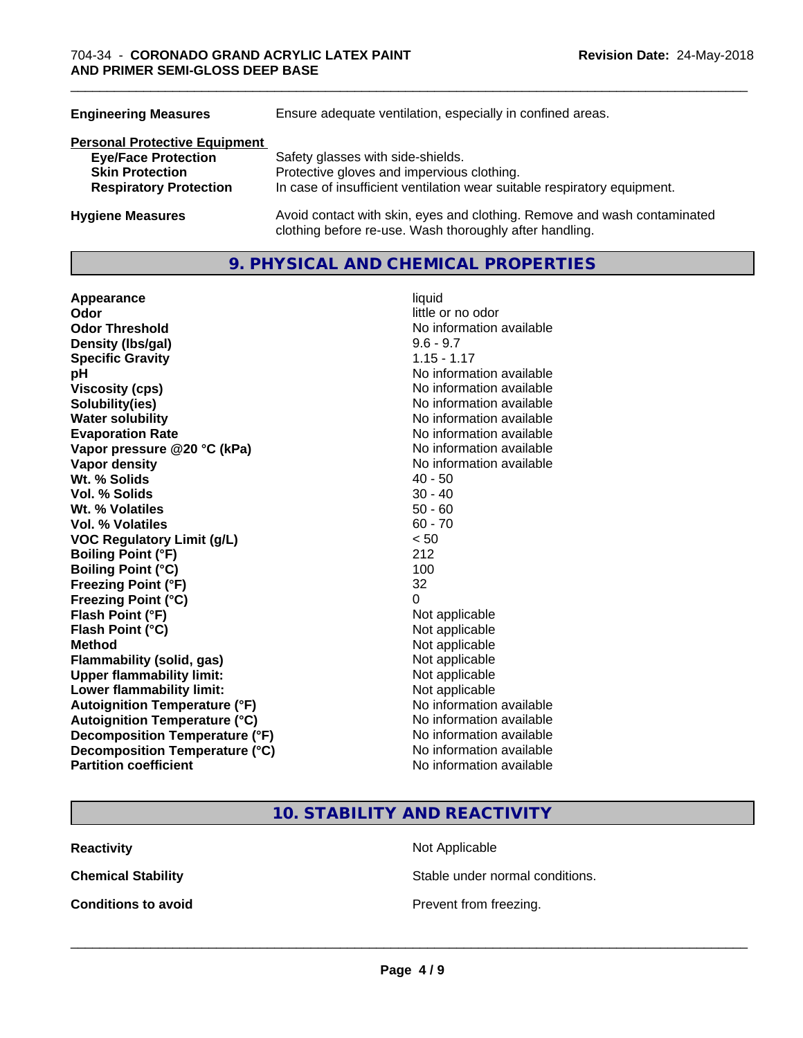| Ensure adequate ventilation, especially in confined areas.                                                                          |
|-------------------------------------------------------------------------------------------------------------------------------------|
|                                                                                                                                     |
| Safety glasses with side-shields.                                                                                                   |
| Protective gloves and impervious clothing.                                                                                          |
| In case of insufficient ventilation wear suitable respiratory equipment.                                                            |
| Avoid contact with skin, eyes and clothing. Remove and wash contaminated<br>clothing before re-use. Wash thoroughly after handling. |
|                                                                                                                                     |

### **9. PHYSICAL AND CHEMICAL PROPERTIES**

**Appearance** liquid **Odor** little or no odor **Odor Threshold No information available No information available Density (lbs/gal)** 9.6 - 9.7 **Specific Gravity** 1.15 - 1.17 **pH** No information available **Viscosity (cps)** <br> **Viscosity (cps)** No information available<br>
No information available<br>
No information available **Water solubility**<br> **Evaporation Rate**<br> **Evaporation Rate**<br> **Evaporation Rate Vapor** pressure @20 °C (kPa) **Vapor density**<br> **Vapor density**<br> **With % Solids**<br>
With % Solids  $\begin{array}{ccc}\n & 40 - 50 \\
\end{array}$ Wt. % Solids **Vol. % Solids** 30 - 40 **Wt.** % Volatiles 50 - 60 **Vol. % Volatiles** 60 - 70 **VOC Regulatory Limit (g/L)** < 50 **Boiling Point (°F)** 212 **Boiling Point (°C) Freezing Point (°F)** 32 **Freezing Point (°C)** 0 **Flash Point (°F)** Not applicable **Flash Point (°C)** Not applicable **Method**<br> **Flammability (solid, gas)**<br> **Commability (solid, gas)**<br>
Mot applicable **Flammability** (solid, gas) **Upper flammability limit:** Not applicable **Lower flammability limit:** Not applicable **Autoignition Temperature (°F)** No information available **Autoignition Temperature (°C)** No information available **Decomposition Temperature (°F)** No information available **Decomposition Temperature (°C)** No information available **Partition coefficient** No information available

**Solubility(ies)** No information available No information available<br>No information available

\_\_\_\_\_\_\_\_\_\_\_\_\_\_\_\_\_\_\_\_\_\_\_\_\_\_\_\_\_\_\_\_\_\_\_\_\_\_\_\_\_\_\_\_\_\_\_\_\_\_\_\_\_\_\_\_\_\_\_\_\_\_\_\_\_\_\_\_\_\_\_\_\_\_\_\_\_\_\_\_\_\_\_\_\_\_\_\_\_\_\_\_\_

**10. STABILITY AND REACTIVITY**

**Reactivity Not Applicable Not Applicable** 

**Chemical Stability Stable under normal conditions.** 

**Conditions to avoid Conditions to avoid Prevent from freezing.**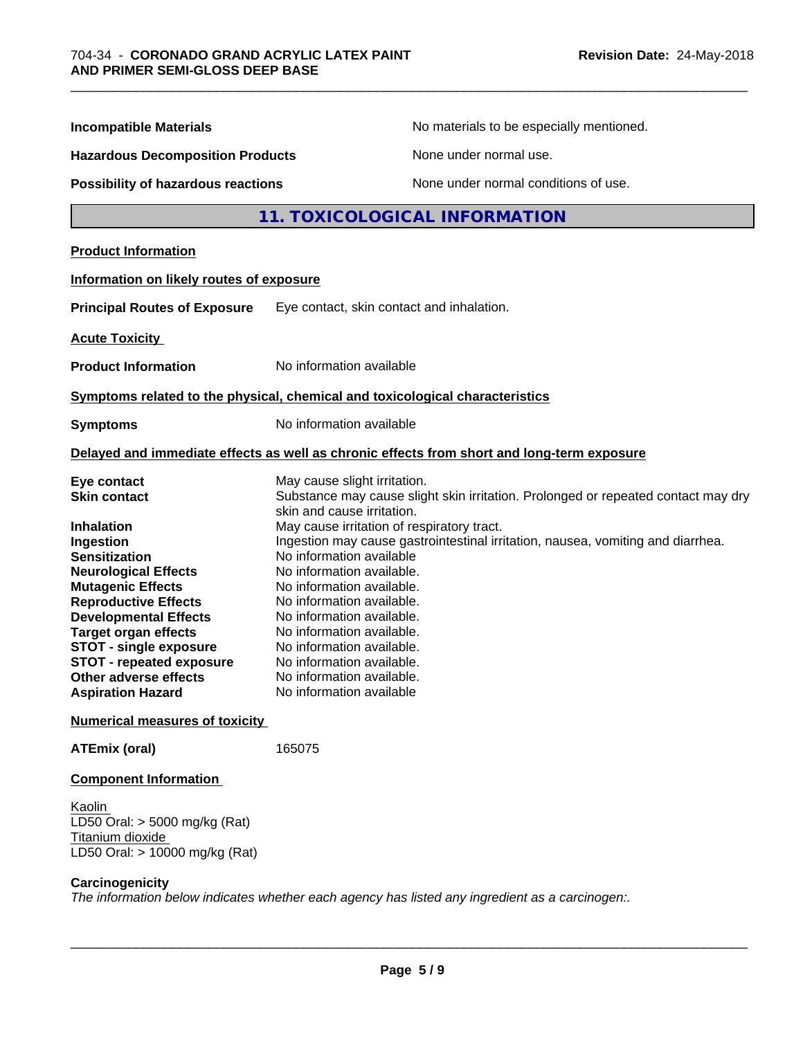| <b>Incompatible Materials</b>                                                                                                                                                                                   | No materials to be especially mentioned.                                                                                                                                                                                                                                                                   |
|-----------------------------------------------------------------------------------------------------------------------------------------------------------------------------------------------------------------|------------------------------------------------------------------------------------------------------------------------------------------------------------------------------------------------------------------------------------------------------------------------------------------------------------|
| <b>Hazardous Decomposition Products</b>                                                                                                                                                                         | None under normal use.                                                                                                                                                                                                                                                                                     |
| <b>Possibility of hazardous reactions</b>                                                                                                                                                                       | None under normal conditions of use.                                                                                                                                                                                                                                                                       |
|                                                                                                                                                                                                                 | 11. TOXICOLOGICAL INFORMATION                                                                                                                                                                                                                                                                              |
| <b>Product Information</b>                                                                                                                                                                                      |                                                                                                                                                                                                                                                                                                            |
| Information on likely routes of exposure                                                                                                                                                                        |                                                                                                                                                                                                                                                                                                            |
| <b>Principal Routes of Exposure</b>                                                                                                                                                                             | Eye contact, skin contact and inhalation.                                                                                                                                                                                                                                                                  |
| <b>Acute Toxicity</b>                                                                                                                                                                                           |                                                                                                                                                                                                                                                                                                            |
| <b>Product Information</b>                                                                                                                                                                                      | No information available                                                                                                                                                                                                                                                                                   |
|                                                                                                                                                                                                                 | Symptoms related to the physical, chemical and toxicological characteristics                                                                                                                                                                                                                               |
| <b>Symptoms</b>                                                                                                                                                                                                 | No information available                                                                                                                                                                                                                                                                                   |
|                                                                                                                                                                                                                 | Delayed and immediate effects as well as chronic effects from short and long-term exposure                                                                                                                                                                                                                 |
| Eye contact<br><b>Skin contact</b>                                                                                                                                                                              | May cause slight irritation.<br>Substance may cause slight skin irritation. Prolonged or repeated contact may dry<br>skin and cause irritation.                                                                                                                                                            |
| <b>Inhalation</b><br>Ingestion<br><b>Sensitization</b><br><b>Neurological Effects</b><br><b>Mutagenic Effects</b><br><b>Reproductive Effects</b><br><b>Developmental Effects</b><br><b>Target organ effects</b> | May cause irritation of respiratory tract.<br>Ingestion may cause gastrointestinal irritation, nausea, vomiting and diarrhea.<br>No information available<br>No information available.<br>No information available.<br>No information available.<br>No information available.<br>No information available. |
| <b>STOT - single exposure</b><br><b>STOT - repeated exposure</b><br>Other adverse effects<br><b>Aspiration Hazard</b>                                                                                           | No information available.<br>No information available.<br>No information available.<br>No information available                                                                                                                                                                                            |
| <b>Numerical measures of toxicity</b>                                                                                                                                                                           |                                                                                                                                                                                                                                                                                                            |
| <b>ATEmix (oral)</b>                                                                                                                                                                                            | 165075                                                                                                                                                                                                                                                                                                     |
| <b>Component Information</b>                                                                                                                                                                                    |                                                                                                                                                                                                                                                                                                            |
| Kaolin<br>LD50 Oral: $>$ 5000 mg/kg (Rat)<br>Titanium dioxide<br>LD50 Oral: > 10000 mg/kg (Rat)                                                                                                                 |                                                                                                                                                                                                                                                                                                            |
| Carcinogenicity                                                                                                                                                                                                 | The information below indicates whether each agency has listed any ingredient as a carcinogen:.                                                                                                                                                                                                            |

\_\_\_\_\_\_\_\_\_\_\_\_\_\_\_\_\_\_\_\_\_\_\_\_\_\_\_\_\_\_\_\_\_\_\_\_\_\_\_\_\_\_\_\_\_\_\_\_\_\_\_\_\_\_\_\_\_\_\_\_\_\_\_\_\_\_\_\_\_\_\_\_\_\_\_\_\_\_\_\_\_\_\_\_\_\_\_\_\_\_\_\_\_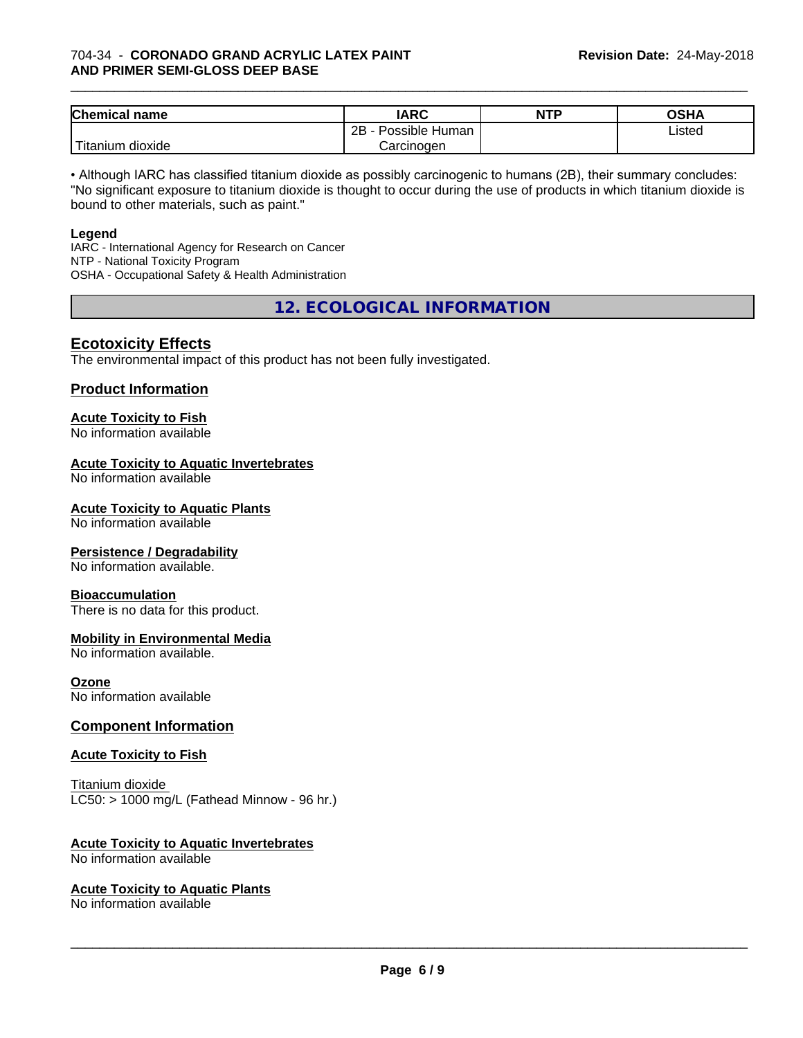#### 704-34 - **CORONADO GRAND ACRYLIC LATEX PAINT AND PRIMER SEMI-GLOSS DEEP BASE**

| <b>Chemical</b><br>name | <b>IARC</b>                 | <b>NTP</b> | ∩≈⊔≀<br>∪אח |
|-------------------------|-----------------------------|------------|-------------|
|                         | . .<br>2B<br>Possible Human |            | ∟isted      |
| .<br>dioxide<br>itanium | Carcinogen                  |            |             |

\_\_\_\_\_\_\_\_\_\_\_\_\_\_\_\_\_\_\_\_\_\_\_\_\_\_\_\_\_\_\_\_\_\_\_\_\_\_\_\_\_\_\_\_\_\_\_\_\_\_\_\_\_\_\_\_\_\_\_\_\_\_\_\_\_\_\_\_\_\_\_\_\_\_\_\_\_\_\_\_\_\_\_\_\_\_\_\_\_\_\_\_\_

• Although IARC has classified titanium dioxide as possibly carcinogenic to humans (2B), their summary concludes: "No significant exposure to titanium dioxide is thought to occur during the use of products in which titanium dioxide is bound to other materials, such as paint."

#### **Legend**

IARC - International Agency for Research on Cancer NTP - National Toxicity Program OSHA - Occupational Safety & Health Administration

**12. ECOLOGICAL INFORMATION**

### **Ecotoxicity Effects**

The environmental impact of this product has not been fully investigated.

#### **Product Information**

# **Acute Toxicity to Fish**

No information available

#### **Acute Toxicity to Aquatic Invertebrates**

No information available

#### **Acute Toxicity to Aquatic Plants**

No information available

#### **Persistence / Degradability**

No information available.

#### **Bioaccumulation**

There is no data for this product.

#### **Mobility in Environmental Media**

No information available.

#### **Ozone**

No information available

#### **Component Information**

#### **Acute Toxicity to Fish**

Titanium dioxide  $LC50:$  > 1000 mg/L (Fathead Minnow - 96 hr.)

#### **Acute Toxicity to Aquatic Invertebrates**

No information available

#### **Acute Toxicity to Aquatic Plants**

No information available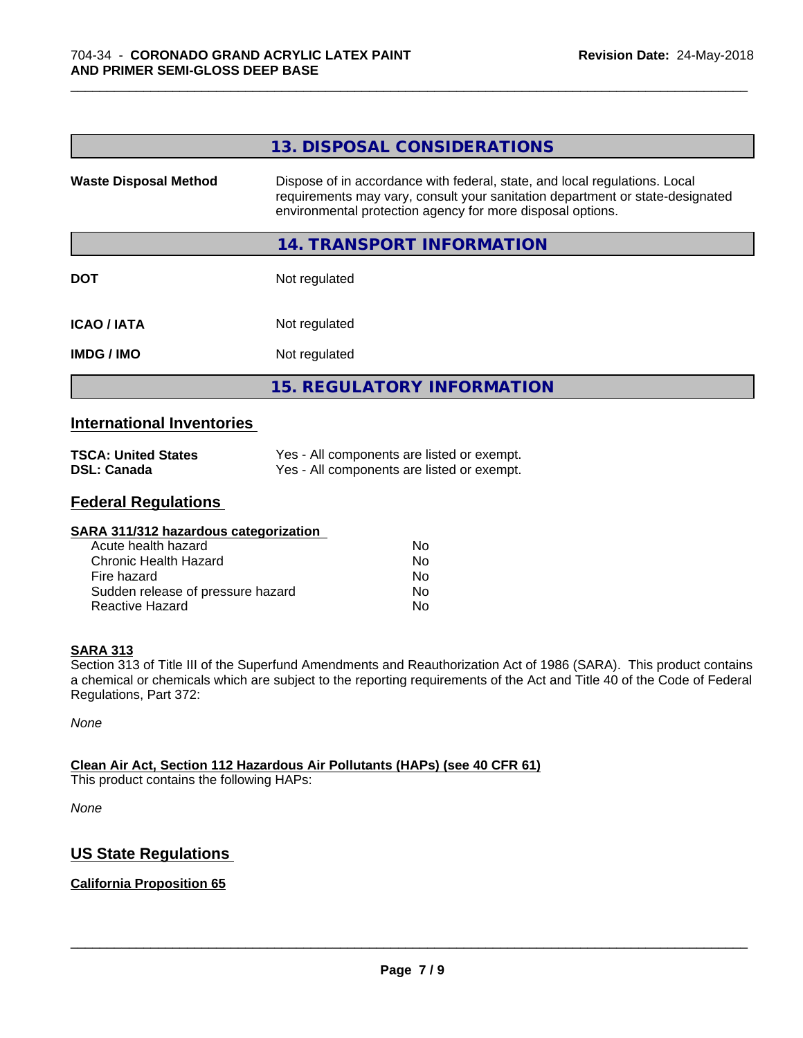|                              | 13. DISPOSAL CONSIDERATIONS                                                                                                                                                                                               |
|------------------------------|---------------------------------------------------------------------------------------------------------------------------------------------------------------------------------------------------------------------------|
| <b>Waste Disposal Method</b> | Dispose of in accordance with federal, state, and local regulations. Local<br>requirements may vary, consult your sanitation department or state-designated<br>environmental protection agency for more disposal options. |
|                              | 14. TRANSPORT INFORMATION                                                                                                                                                                                                 |
| <b>DOT</b>                   | Not regulated                                                                                                                                                                                                             |
| <b>ICAO/IATA</b>             | Not regulated                                                                                                                                                                                                             |
| <b>IMDG/IMO</b>              | Not regulated                                                                                                                                                                                                             |
|                              | <b>15. REGULATORY INFORMATION</b>                                                                                                                                                                                         |

\_\_\_\_\_\_\_\_\_\_\_\_\_\_\_\_\_\_\_\_\_\_\_\_\_\_\_\_\_\_\_\_\_\_\_\_\_\_\_\_\_\_\_\_\_\_\_\_\_\_\_\_\_\_\_\_\_\_\_\_\_\_\_\_\_\_\_\_\_\_\_\_\_\_\_\_\_\_\_\_\_\_\_\_\_\_\_\_\_\_\_\_\_

#### **International Inventories**

| <b>TSCA: United States</b> | Yes - All components are listed or exempt. |
|----------------------------|--------------------------------------------|
| <b>DSL: Canada</b>         | Yes - All components are listed or exempt. |

## **Federal Regulations**

| SARA 311/312 hazardous categorization |    |  |
|---------------------------------------|----|--|
| Acute health hazard                   | Nο |  |
| Chronic Health Hazard                 | No |  |
| Fire hazard                           | No |  |
| Sudden release of pressure hazard     | No |  |
| Reactive Hazard                       | No |  |

#### **SARA 313**

Section 313 of Title III of the Superfund Amendments and Reauthorization Act of 1986 (SARA). This product contains a chemical or chemicals which are subject to the reporting requirements of the Act and Title 40 of the Code of Federal Regulations, Part 372:

*None*

#### **Clean Air Act,Section 112 Hazardous Air Pollutants (HAPs) (see 40 CFR 61)**

This product contains the following HAPs:

*None*

## **US State Regulations**

#### **California Proposition 65**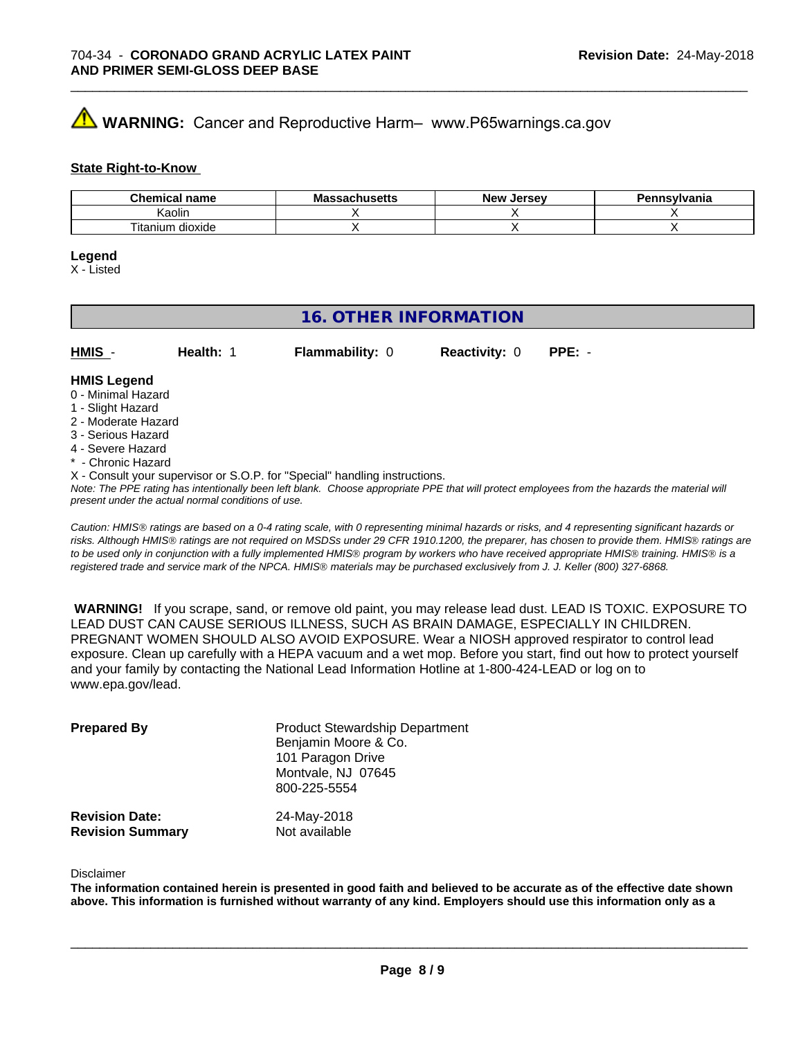# **A** WARNING: Cancer and Reproductive Harm– www.P65warnings.ca.gov

#### **State Right-to-Know**

| Chemical<br>name<br>~ ⊔ | . .<br>171143 <del>0</del> แ3 | Jersev<br>— Ne™ | าnsvlvania |
|-------------------------|-------------------------------|-----------------|------------|
| Kaolir                  |                               |                 |            |
| dioxide<br>l itanıum    |                               |                 |            |

\_\_\_\_\_\_\_\_\_\_\_\_\_\_\_\_\_\_\_\_\_\_\_\_\_\_\_\_\_\_\_\_\_\_\_\_\_\_\_\_\_\_\_\_\_\_\_\_\_\_\_\_\_\_\_\_\_\_\_\_\_\_\_\_\_\_\_\_\_\_\_\_\_\_\_\_\_\_\_\_\_\_\_\_\_\_\_\_\_\_\_\_\_

#### **Legend**

X - Listed

# **16. OTHER INFORMATION**

| $HMIS -$           | Health: | <b>Flammability: 0</b> | <b>Reactivity: 0</b> | $PPE: -$ |
|--------------------|---------|------------------------|----------------------|----------|
| <b>HMIS Legend</b> |         |                        |                      |          |

#### 0 - Minimal Hazard

- 1 Slight Hazard
- 2 Moderate Hazard
- 3 Serious Hazard
- 4 Severe Hazard
- \* Chronic Hazard
- X Consult your supervisor or S.O.P. for "Special" handling instructions.

*Note: The PPE rating has intentionally been left blank. Choose appropriate PPE that will protect employees from the hazards the material will present under the actual normal conditions of use.*

*Caution: HMISÒ ratings are based on a 0-4 rating scale, with 0 representing minimal hazards or risks, and 4 representing significant hazards or risks. Although HMISÒ ratings are not required on MSDSs under 29 CFR 1910.1200, the preparer, has chosen to provide them. HMISÒ ratings are to be used only in conjunction with a fully implemented HMISÒ program by workers who have received appropriate HMISÒ training. HMISÒ is a registered trade and service mark of the NPCA. HMISÒ materials may be purchased exclusively from J. J. Keller (800) 327-6868.*

 **WARNING!** If you scrape, sand, or remove old paint, you may release lead dust. LEAD IS TOXIC. EXPOSURE TO LEAD DUST CAN CAUSE SERIOUS ILLNESS, SUCH AS BRAIN DAMAGE, ESPECIALLY IN CHILDREN. PREGNANT WOMEN SHOULD ALSO AVOID EXPOSURE.Wear a NIOSH approved respirator to control lead exposure. Clean up carefully with a HEPA vacuum and a wet mop. Before you start, find out how to protect yourself and your family by contacting the National Lead Information Hotline at 1-800-424-LEAD or log on to www.epa.gov/lead.

| <b>Prepared By</b>                               | <b>Product Stewardship Department</b><br>Benjamin Moore & Co.<br>101 Paragon Drive<br>Montvale, NJ 07645<br>800-225-5554 |  |
|--------------------------------------------------|--------------------------------------------------------------------------------------------------------------------------|--|
| <b>Revision Date:</b><br><b>Revision Summary</b> | 24-May-2018<br>Not available                                                                                             |  |

#### Disclaimer

The information contained herein is presented in good faith and believed to be accurate as of the effective date shown above. This information is furnished without warranty of any kind. Employers should use this information only as a